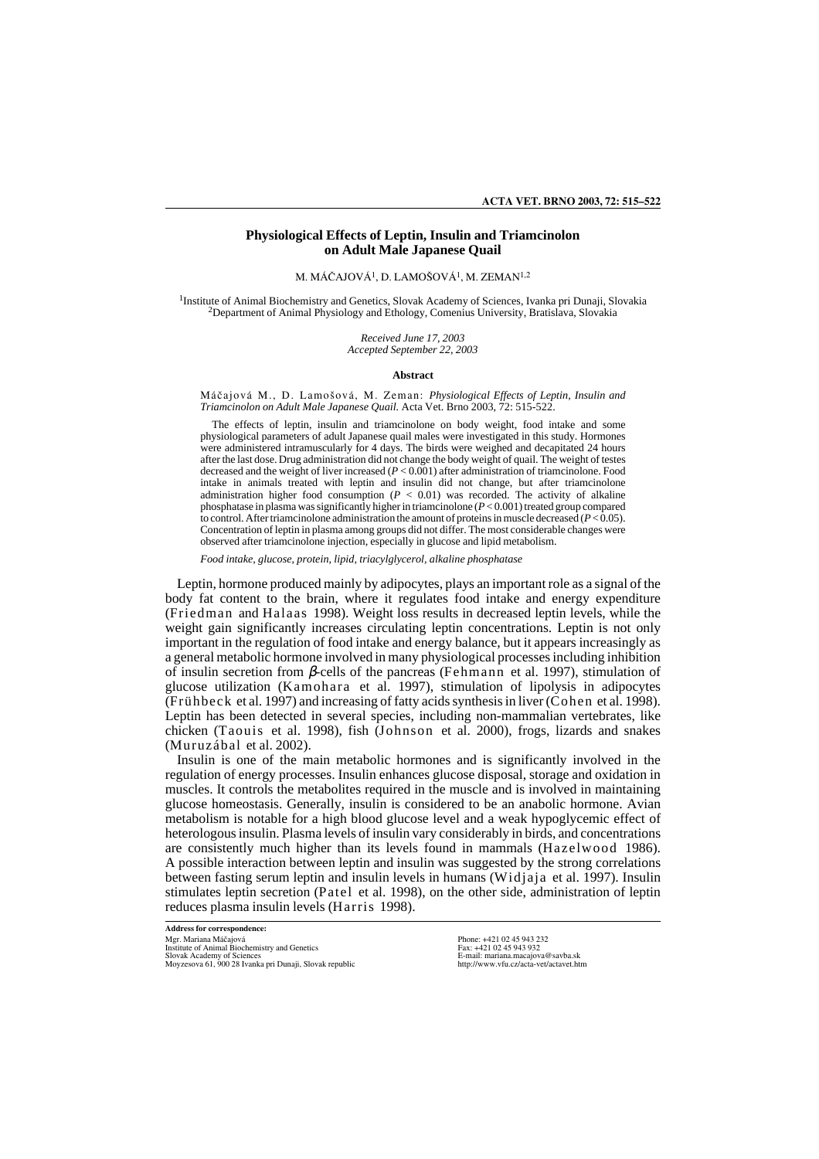# **Physiological Effects of Leptin, Insulin and Triamcinolon on Adult Male Japanese Quail**

M. MÁČAJOVÁ<sup>1</sup>, D. LAMOŠOVÁ<sup>1</sup>, M. ZEMAN<sup>1,2</sup>

<sup>1</sup>Institute of Animal Biochemistry and Genetics, Slovak Academy of Sciences, Ivanka pri Dunaji, Slovakia <sup>2</sup>Department of Animal Physiology and Ethology, Comenius University, Bratislava, Slovakia

*Received June 17, 2003 Accepted September 22, 2003*

#### **Abstract**

Máãajová M., D. Lamo‰ová, M. Zeman: *Physiological Effects of Leptin, Insulin and Triamcinolon on Adult Male Japanese Quail.* Acta Vet. Brno 2003, 72: 515-522.

The effects of leptin, insulin and triamcinolone on body weight, food intake and some physiological parameters of adult Japanese quail males were investigated in this study. Hormones were administered intramuscularly for 4 days. The birds were weighed and decapitated 24 hours after the last dose. Drug administration did not change the body weight of quail. The weight of testes decreased and the weight of liver increased (*P* < 0.001) after administration of triamcinolone. Food intake in animals treated with leptin and insulin did not change, but after triamcinolone administration higher food consumption  $(P < 0.01)$  was recorded. The activity of alkaline phosphatase in plasma was significantly higher in triamcinolone (*P*< 0.001) treated group compared to control. After triamcinolone administration the amount of proteins in muscle decreased  $(P < 0.05)$ . Concentration of leptin in plasma among groups did not differ. The most considerable changes were observed after triamcinolone injection, especially in glucose and lipid metabolism.

*Food intake, glucose, protein, lipid, triacylglycerol, alkaline phosphatase*

Leptin, hormone produced mainly by adipocytes, plays an important role as a signal of the body fat content to the brain, where it regulates food intake and energy expenditure (Friedman and Halaas 1998). Weight loss results in decreased leptin levels, while the weight gain significantly increases circulating leptin concentrations. Leptin is not only important in the regulation of food intake and energy balance, but it appears increasingly as a general metabolic hormone involved in many physiological processes including inhibition of insulin secretion from β-cells of the pancreas (Fehmann et al. 1997), stimulation of glucose utilization (Kamohara et al. 1997), stimulation of lipolysis in adipocytes (Frühbeck et al. 1997) and increasing of fatty acids synthesis in liver (Cohen et al. 1998). Leptin has been detected in several species, including non-mammalian vertebrates, like chicken (Taouis et al. 1998), fish (Johnson et al. 2000), frogs, lizards and snakes (Muruzábal et al. 2002).

Insulin is one of the main metabolic hormones and is significantly involved in the regulation of energy processes. Insulin enhances glucose disposal, storage and oxidation in muscles. It controls the metabolites required in the muscle and is involved in maintaining glucose homeostasis. Generally, insulin is considered to be an anabolic hormone. Avian metabolism is notable for a high blood glucose level and a weak hypoglycemic effect of heterologous insulin. Plasma levels of insulin vary considerably in birds, and concentrations are consistently much higher than its levels found in mammals (Hazelwood 1986). A possible interaction between leptin and insulin was suggested by the strong correlations between fasting serum leptin and insulin levels in humans (Widjaja et al. 1997). Insulin stimulates leptin secretion (Patel et al. 1998), on the other side, administration of leptin reduces plasma insulin levels (Harris 1998).

Phone: +421 02 45 943 232 Fax: +421 02 45 943 932 E-mail: mariana.macajova@savba.sk http://www.vfu.cz/acta-vet/actavet.htm

**Address for correspondence:** Mgr. Mariana Máãajová Institute of Animal Biochemistry and Genetics Slovak Academy of Sciences Moyzesova 61, 900 28 Ivanka pri Dunaji, Slovak republic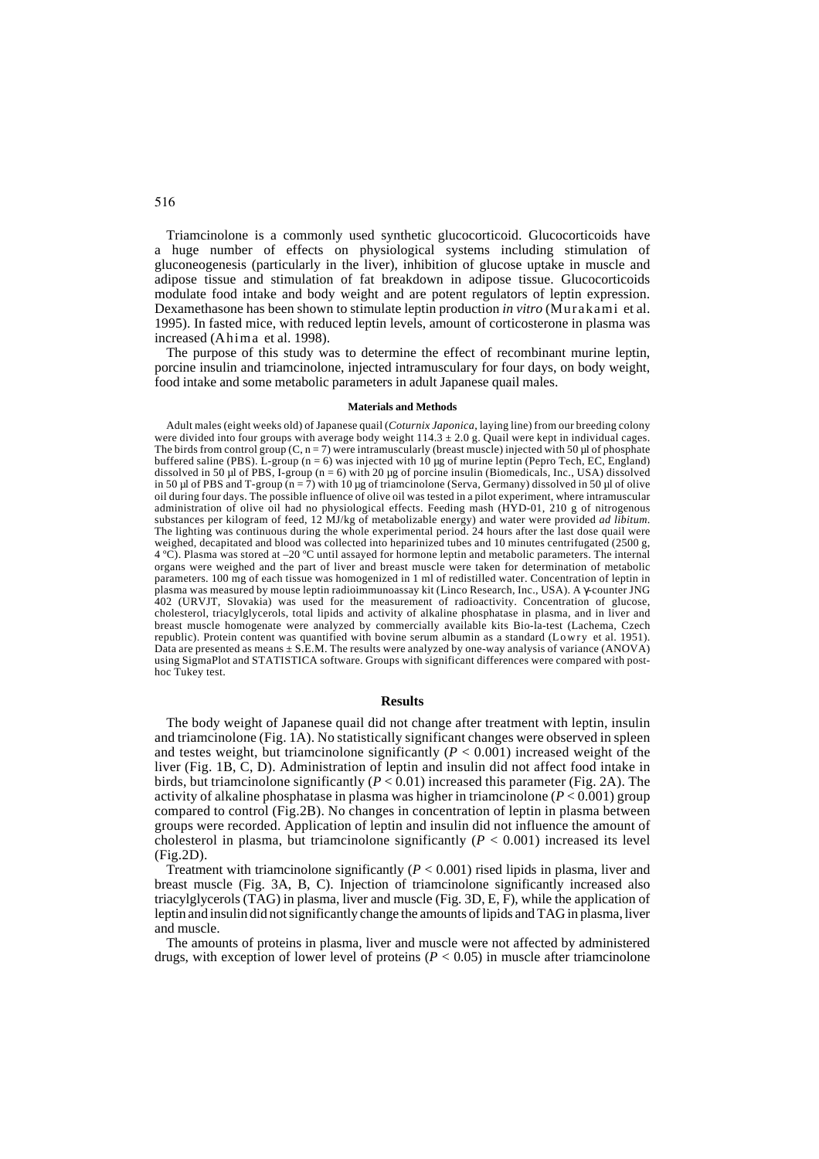Triamcinolone is a commonly used synthetic glucocorticoid. Glucocorticoids have a huge number of effects on physiological systems including stimulation of gluconeogenesis (particularly in the liver), inhibition of glucose uptake in muscle and adipose tissue and stimulation of fat breakdown in adipose tissue. Glucocorticoids modulate food intake and body weight and are potent regulators of leptin expression. Dexamethasone has been shown to stimulate leptin production *in vitro* (Murakami et al. 1995). In fasted mice, with reduced leptin levels, amount of corticosterone in plasma was increased (Ahima et al. 1998).

The purpose of this study was to determine the effect of recombinant murine leptin, porcine insulin and triamcinolone, injected intramusculary for four days, on body weight, food intake and some metabolic parameters in adult Japanese quail males.

#### **Materials and Methods**

Adult males (eight weeks old) of Japanese quail (*Coturnix Japonica*, laying line) from our breeding colony were divided into four groups with average body weight  $114.3 \pm 2.0$  g. Quail were kept in individual cages. The birds from control group  $(C, n = 7)$  were intramuscularly (breast muscle) injected with 50 µl of phosphate buffered saline (PBS). L-group  $(n = 6)$  was injected with 10 µg of murine leptin (Pepro Tech, EC, England) dissolved in 50  $\mu$ l of PBS, I-group (n = 6) with 20  $\mu$ g of porcine insulin (Biomedicals, Inc., USA) dissolved in 50  $\mu$ l of PBS and T-group (n = 7) with 10  $\mu$ g of triamcinolone (Serva, Germany) dissolved in 50  $\mu$ l of olive oil during four days. The possible influence of olive oil was tested in a pilot experiment, where intramuscular administration of olive oil had no physiological effects. Feeding mash (HYD-01, 210 g of nitrogenous substances per kilogram of feed, 12 MJ/kg of metabolizable energy) and water were provided *ad libitum*. The lighting was continuous during the whole experimental period. 24 hours after the last dose quail were weighed, decapitated and blood was collected into heparinized tubes and 10 minutes centrifugated (2500 g, 4 ºC). Plasma was stored at –20 ºC until assayed for hormone leptin and metabolic parameters. The internal organs were weighed and the part of liver and breast muscle were taken for determination of metabolic parameters. 100 mg of each tissue was homogenized in 1 ml of redistilled water. Concentration of leptin in plasma was measured by mouse leptin radioimmunoassay kit (Linco Research, Inc., USA). A γ-counter JNG 402 (URVJT, Slovakia) was used for the measurement of radioactivity. Concentration of glucose, cholesterol, triacylglycerols, total lipids and activity of alkaline phosphatase in plasma, and in liver and breast muscle homogenate were analyzed by commercially available kits Bio-la-test (Lachema, Czech republic). Protein content was quantified with bovine serum albumin as a standard (Lowry et al. 1951). Data are presented as means  $\pm$  S.E.M. The results were analyzed by one-way analysis of variance (ANOVA) using SigmaPlot and STATISTICA software. Groups with significant differences were compared with posthoc Tukey test.

### **Results**

The body weight of Japanese quail did not change after treatment with leptin, insulin and triamcinolone (Fig. 1A). No statistically significant changes were observed in spleen and testes weight, but triamcinolone significantly  $(P < 0.001)$  increased weight of the liver (Fig. 1B, C, D). Administration of leptin and insulin did not affect food intake in birds, but triamcinolone significantly  $(P < 0.01)$  increased this parameter (Fig. 2A). The activity of alkaline phosphatase in plasma was higher in triamcinolone  $(P < 0.001)$  group compared to control (Fig.2B). No changes in concentration of leptin in plasma between groups were recorded. Application of leptin and insulin did not influence the amount of cholesterol in plasma, but triamcinolone significantly  $(P < 0.001)$  increased its level (Fig.2D).

Treatment with triamcinolone significantly  $(P < 0.001)$  rised lipids in plasma, liver and breast muscle (Fig. 3A, B, C). Injection of triamcinolone significantly increased also triacylglycerols (TAG) in plasma, liver and muscle (Fig. 3D, E, F), while the application of leptin and insulin did not significantly change the amounts of lipids and TAG in plasma, liver and muscle.

The amounts of proteins in plasma, liver and muscle were not affected by administered drugs, with exception of lower level of proteins  $(P < 0.05)$  in muscle after triamcinolone

516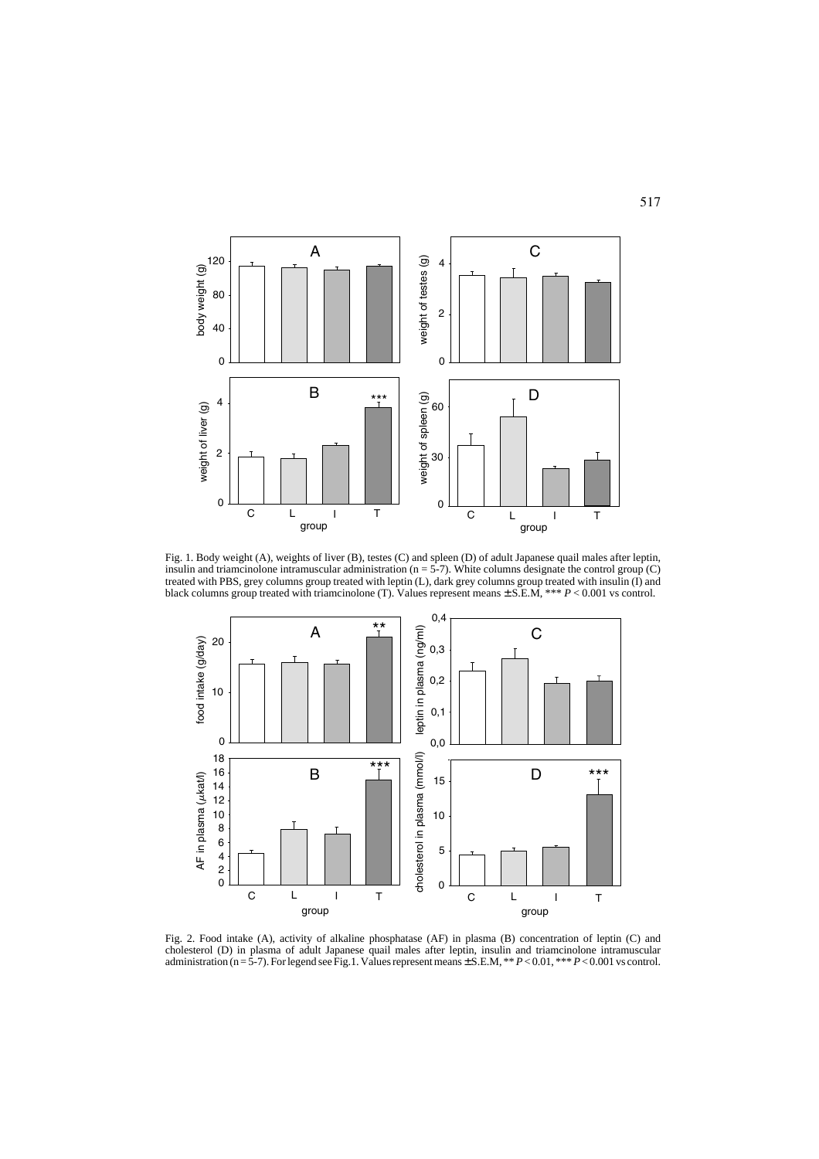

Fig. 1. Body weight (A), weights of liver (B), testes (C) and spleen (D) of adult Japanese quail males after leptin, insulin and triamcinolone intramuscular administration  $(n = 5-7)$ . White columns designate the control group  $(C)$ treated with PBS, grey columns group treated with leptin (L), dark grey columns group treated with insulin (I) and black columns group treated with triamcinolone (T). Values represent means ± S.E.M, \*\*\* *P* < 0.001 vs control.



Fig. 2. Food intake (A), activity of alkaline phosphatase (AF) in plasma (B) concentration of leptin (C) and cholesterol (D) in plasma of adult Japanese quail males after leptin, insulin and triamcinolone intramuscular administration (n = 5-7). For legend see Fig.1. Values represent means ± S.E.M, \*\* *P*< 0.01, \*\*\* *P*< 0.001 vs control.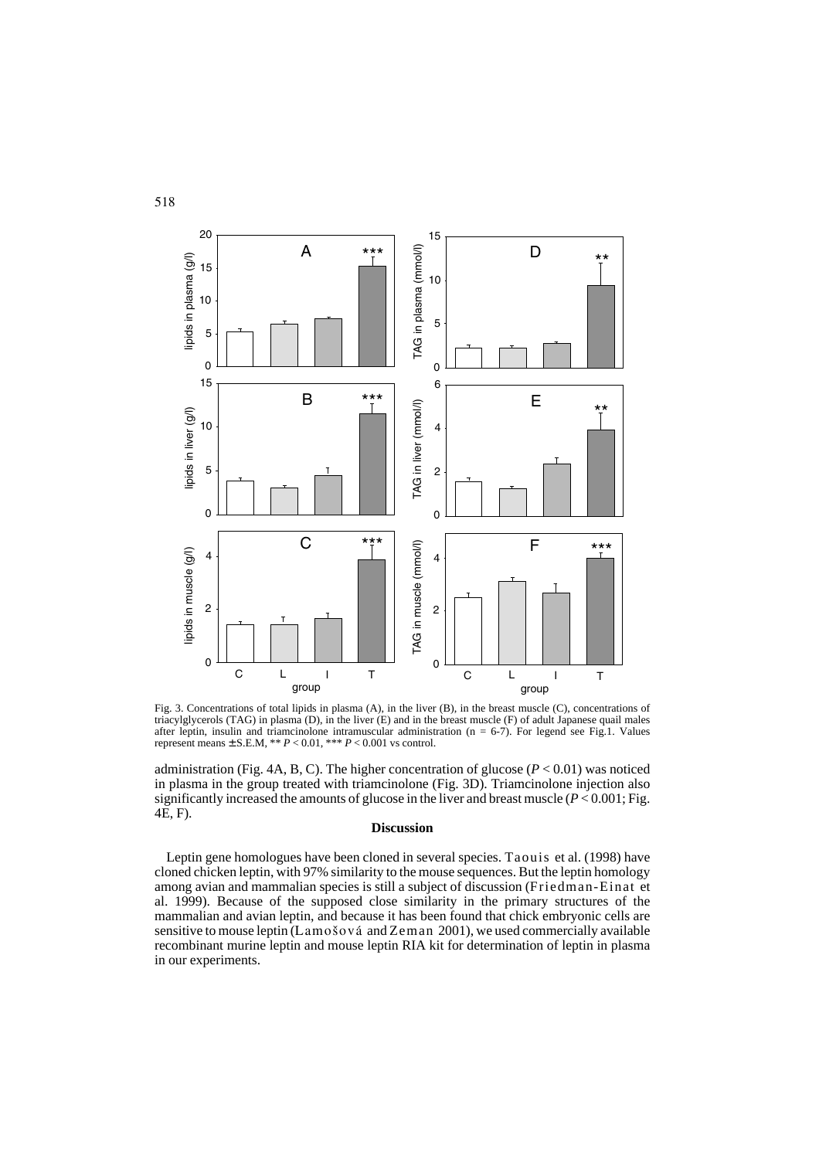

Fig. 3. Concentrations of total lipids in plasma (A), in the liver (B), in the breast muscle (C), concentrations of triacylglycerols (TAG) in plasma (D), in the liver (E) and in the breast muscle (F) of adult Japanese quail males after leptin, insulin and triamcinolone intramuscular administration (n = 6-7). For legend see Fig.1. Values represent means  $\pm$  S.E.M,  $**$   $P < 0.01$ ,  $***$   $P < 0.001$  vs control.

administration (Fig. 4A, B, C). The higher concentration of glucose (*P* < 0.01) was noticed in plasma in the group treated with triamcinolone (Fig. 3D). Triamcinolone injection also significantly increased the amounts of glucose in the liver and breast muscle  $(P < 0.001$ ; Fig. 4E, F).

## **Discussion**

Leptin gene homologues have been cloned in several species. Taouis et al. (1998) have cloned chicken leptin, with 97% similarity to the mouse sequences. But the leptin homology among avian and mammalian species is still a subject of discussion (Friedman-Einat et al. 1999). Because of the supposed close similarity in the primary structures of the mammalian and avian leptin, and because it has been found that chick embryonic cells are sensitive to mouse leptin (Lamošová and Zeman 2001), we used commercially available recombinant murine leptin and mouse leptin RIA kit for determination of leptin in plasma in our experiments.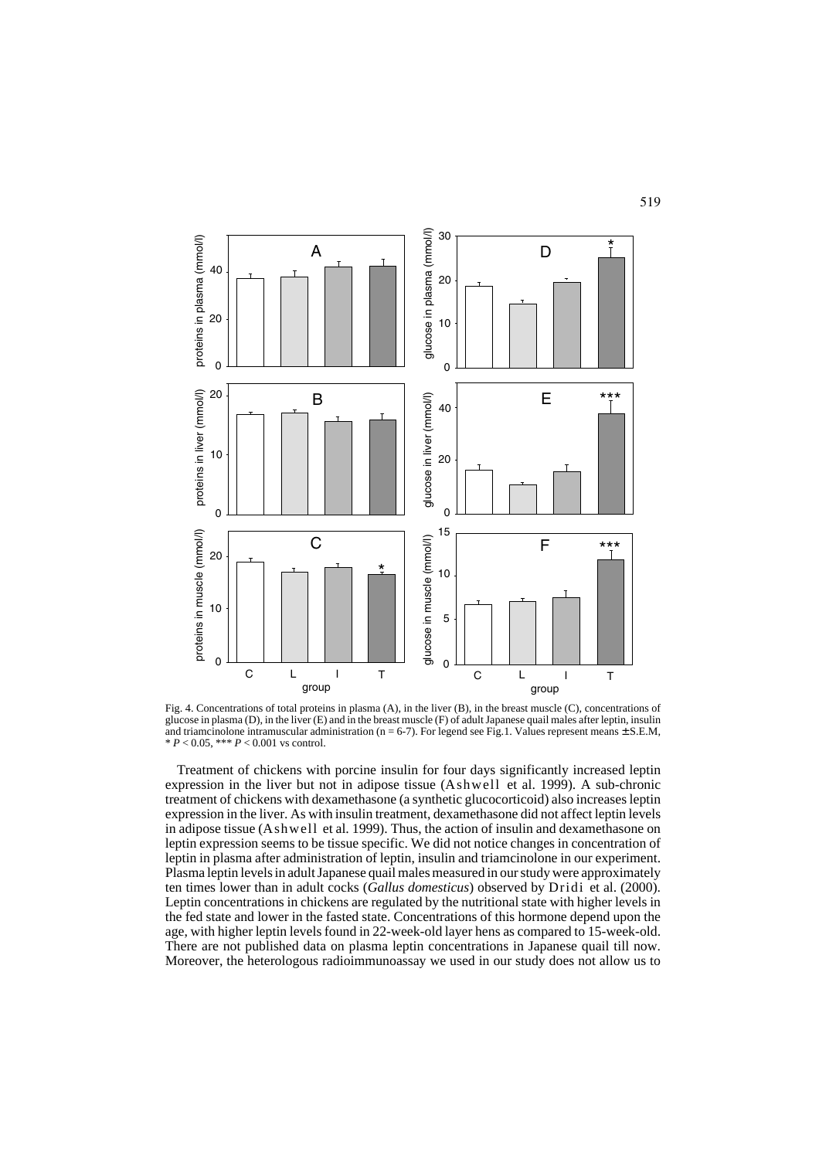

Fig. 4. Concentrations of total proteins in plasma (A), in the liver (B), in the breast muscle (C), concentrations of glucose in plasma (D), in the liver (E) and in the breast muscle (F) of adult Japanese quail males after leptin, insulin and triamcinolone intramuscular administration ( $n = 6-7$ ). For legend see Fig.1. Values represent means  $\pm$  S.E.M, \* *P* < 0.05, \*\*\* *P* < 0.001 vs control.

Treatment of chickens with porcine insulin for four days significantly increased leptin expression in the liver but not in adipose tissue (Ashwell et al. 1999). A sub-chronic treatment of chickens with dexamethasone (a synthetic glucocorticoid) also increases leptin expression in the liver. As with insulin treatment, dexamethasone did not affect leptin levels in adipose tissue (Ashwell et al. 1999). Thus, the action of insulin and dexamethasone on leptin expression seems to be tissue specific. We did not notice changes in concentration of leptin in plasma after administration of leptin, insulin and triamcinolone in our experiment. Plasma leptin levels in adult Japanese quail males measured in our study were approximately ten times lower than in adult cocks (*Gallus domesticus*) observed by Dridi et al. (2000). Leptin concentrations in chickens are regulated by the nutritional state with higher levels in the fed state and lower in the fasted state. Concentrations of this hormone depend upon the age, with higher leptin levels found in 22-week-old layer hens as compared to 15-week-old. There are not published data on plasma leptin concentrations in Japanese quail till now. Moreover, the heterologous radioimmunoassay we used in our study does not allow us to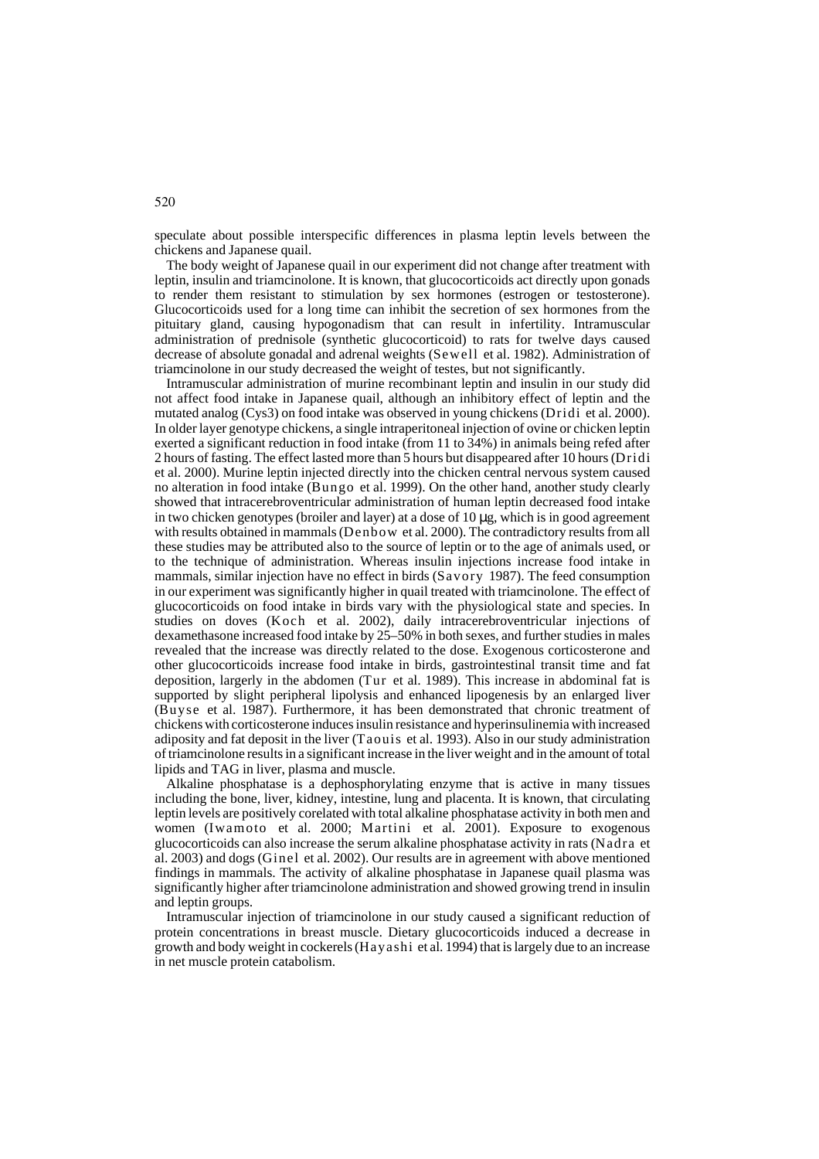speculate about possible interspecific differences in plasma leptin levels between the chickens and Japanese quail.

The body weight of Japanese quail in our experiment did not change after treatment with leptin, insulin and triamcinolone. It is known, that glucocorticoids act directly upon gonads to render them resistant to stimulation by sex hormones (estrogen or testosterone). Glucocorticoids used for a long time can inhibit the secretion of sex hormones from the pituitary gland, causing hypogonadism that can result in infertility. Intramuscular administration of prednisole (synthetic glucocorticoid) to rats for twelve days caused decrease of absolute gonadal and adrenal weights (Sewell et al. 1982). Administration of triamcinolone in our study decreased the weight of testes, but not significantly.

Intramuscular administration of murine recombinant leptin and insulin in our study did not affect food intake in Japanese quail, although an inhibitory effect of leptin and the mutated analog (Cys3) on food intake was observed in young chickens (Dridi et al. 2000). In older layer genotype chickens, a single intraperitoneal injection of ovine or chicken leptin exerted a significant reduction in food intake (from 11 to 34%) in animals being refed after 2 hours of fasting. The effect lasted more than 5 hours but disappeared after 10 hours (Dridi et al. 2000). Murine leptin injected directly into the chicken central nervous system caused no alteration in food intake (Bungo et al. 1999). On the other hand, another study clearly showed that intracerebroventricular administration of human leptin decreased food intake in two chicken genotypes (broiler and layer) at a dose of  $10 \mu$ g, which is in good agreement with results obtained in mammals (Denbow et al. 2000). The contradictory results from all these studies may be attributed also to the source of leptin or to the age of animals used, or to the technique of administration. Whereas insulin injections increase food intake in mammals, similar injection have no effect in birds (Savory 1987). The feed consumption in our experiment was significantly higher in quail treated with triamcinolone. The effect of glucocorticoids on food intake in birds vary with the physiological state and species. In studies on doves (Koch et al. 2002), daily intracerebroventricular injections of dexamethasone increased food intake by 25–50% in both sexes, and further studies in males revealed that the increase was directly related to the dose. Exogenous corticosterone and other glucocorticoids increase food intake in birds, gastrointestinal transit time and fat deposition, largerly in the abdomen (Tur et al. 1989). This increase in abdominal fat is supported by slight peripheral lipolysis and enhanced lipogenesis by an enlarged liver (Buyse et al. 1987). Furthermore, it has been demonstrated that chronic treatment of chickens with corticosterone induces insulin resistance and hyperinsulinemia with increased adiposity and fat deposit in the liver (Taouis et al. 1993). Also in our study administration of triamcinolone results in a significant increase in the liver weight and in the amount of total lipids and TAG in liver, plasma and muscle.

Alkaline phosphatase is a dephosphorylating enzyme that is active in many tissues including the bone, liver, kidney, intestine, lung and placenta. It is known, that circulating leptin levels are positively corelated with total alkaline phosphatase activity in both men and women (Iwamoto et al. 2000; Martini et al. 2001). Exposure to exogenous glucocorticoids can also increase the serum alkaline phosphatase activity in rats (Nadra et al. 2003) and dogs (Ginel et al. 2002). Our results are in agreement with above mentioned findings in mammals. The activity of alkaline phosphatase in Japanese quail plasma was significantly higher after triamcinolone administration and showed growing trend in insulin and leptin groups.

Intramuscular injection of triamcinolone in our study caused a significant reduction of protein concentrations in breast muscle. Dietary glucocorticoids induced a decrease in growth and body weight in cockerels (Hayashi et al. 1994) that is largely due to an increase in net muscle protein catabolism.

520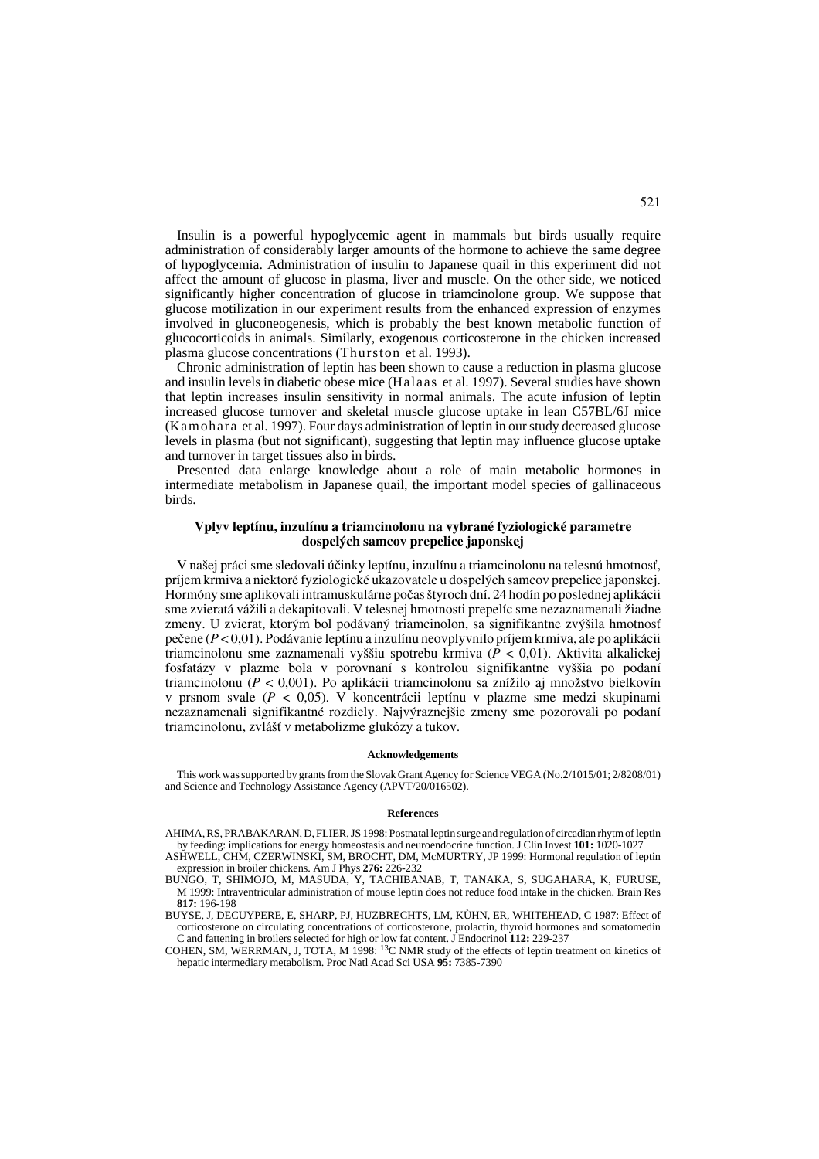Insulin is a powerful hypoglycemic agent in mammals but birds usually require administration of considerably larger amounts of the hormone to achieve the same degree of hypoglycemia. Administration of insulin to Japanese quail in this experiment did not affect the amount of glucose in plasma, liver and muscle. On the other side, we noticed significantly higher concentration of glucose in triamcinolone group. We suppose that glucose motilization in our experiment results from the enhanced expression of enzymes involved in gluconeogenesis, which is probably the best known metabolic function of glucocorticoids in animals. Similarly, exogenous corticosterone in the chicken increased plasma glucose concentrations (Thurston et al. 1993).

Chronic administration of leptin has been shown to cause a reduction in plasma glucose and insulin levels in diabetic obese mice (Halaas et al. 1997). Several studies have shown that leptin increases insulin sensitivity in normal animals. The acute infusion of leptin increased glucose turnover and skeletal muscle glucose uptake in lean C57BL/6J mice (Kamohara et al. 1997). Four days administration of leptin in our study decreased glucose levels in plasma (but not significant), suggesting that leptin may influence glucose uptake and turnover in target tissues also in birds.

Presented data enlarge knowledge about a role of main metabolic hormones in intermediate metabolism in Japanese quail, the important model species of gallinaceous birds.

## **Vplyv leptínu, inzulínu a triamcinolonu na vybrané fyziologické parametre dospel˘ch samcov prepelice japonskej**

V našej práci sme sledovali účinky leptínu, inzulínu a triamcinolonu na telesnú hmotnosť, príjem krmiva a niektoré fyziologické ukazovatele u dospel˘ch samcov prepelice japonskej. Hormóny sme aplikovali intramuskulárne počas štyroch dní. 24 hodín po poslednej aplikácii sme zvieratá vážili a dekapitovali. V telesnej hmotnosti prepelíc sme nezaznamenali žiadne zmeny. U zvierat, ktorým bol podávaný triamcinolon, sa signifikantne zvýšila hmotnosť peãene (*P* < 0,01). Podávanie leptínu a inzulínu neovplyvnilo príjem krmiva, ale po aplikácii triamcinolonu sme zaznamenali vyššiu spotrebu krmiva ( $\bar{P}$  < 0,01). Aktivita alkalickej fosfatázy v plazme bola v porovnaní s kontrolou signifikantne vy‰‰ia po podaní triamcinolonu ( $P < 0.001$ ). Po aplikácii triamcinolonu sa znížilo aj množstvo bielkovín v prsnom svale (*P* < 0,05). V koncentrácii leptínu v plazme sme medzi skupinami nezaznamenali signifikantné rozdiely. Najvýraznejšie zmeny sme pozorovali po podaní triamcinolonu, zvlášť v metabolizme glukózy a tukov.

### **Acknowledgements**

This work was supported by grants from the Slovak Grant Agency for Science VEGA (No.2/1015/01; 2/8208/01) and Science and Technology Assistance Agency (APVT/20/016502).

#### **References**

AHIMA, RS, PRABAKARAN, D, FLIER, JS 1998: Postnatal leptin surge and regulation of circadian rhytm of leptin by feeding: implications for energy homeostasis and neuroendocrine function. J Clin Invest **101:** 1020-1027

ASHWELL, CHM, CZERWINSKI, SM, BROCHT, DM, McMURTRY, JP 1999: Hormonal regulation of leptin expression in broiler chickens. Am J Phys **276:** 226-232

- BUNGO, T, SHIMOJO, M, MASUDA, Y, TACHIBANAB, T, TANAKA, S, SUGAHARA, K, FURUSE, M 1999: Intraventricular administration of mouse leptin does not reduce food intake in the chicken. Brain Res **817:** 196-198
- BUYSE, J, DECUYPERE, E, SHARP, PJ, HUZBRECHTS, LM, KÙHN, ER, WHITEHEAD, C 1987: Effect of corticosterone on circulating concentrations of corticosterone, prolactin, thyroid hormones and somatomedin C and fattening in broilers selected for high or low fat content. J Endocrinol **112:** 229-237
- COHEN, SM, WERRMAN, J, TOTA, M 1998: 13C NMR study of the effects of leptin treatment on kinetics of hepatic intermediary metabolism. Proc Natl Acad Sci USA **95:** 7385-7390